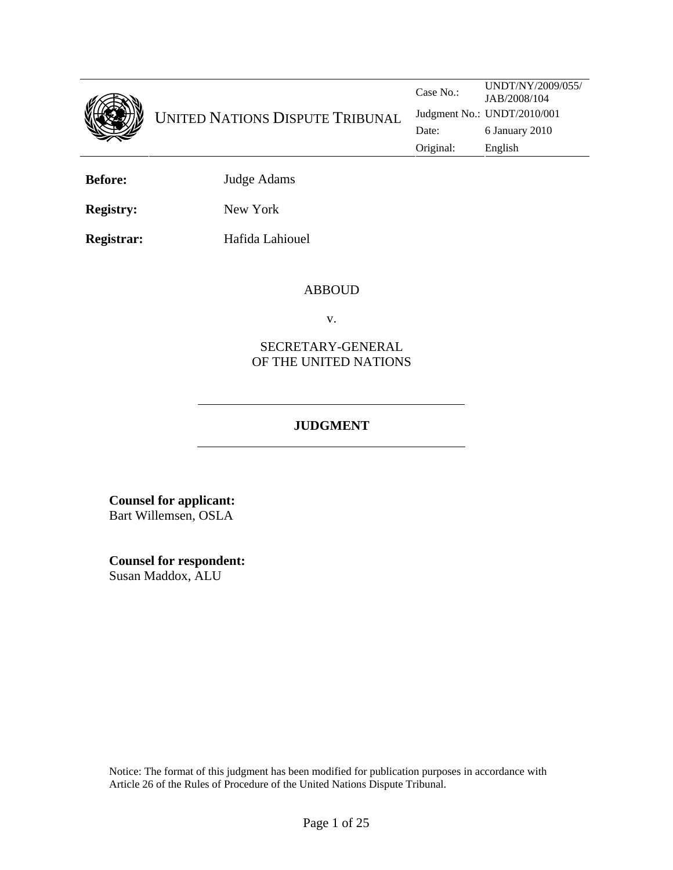

**Before:** Judge Adams

**Registry:** New York

**Registrar: Hafida Lahiouel** 

#### ABBOUD

v.

## SECRETARY-GENERAL OF THE UNITED NATIONS

# **JUDGMENT**

**Counsel for applicant:**  Bart Willemsen, OSLA

**Counsel for respondent:** Susan Maddox, ALU

Notice: The format of this judgment has been modified for publication purposes in accordance with Article 26 of the Rules of Procedure of the United Nations Dispute Tribunal.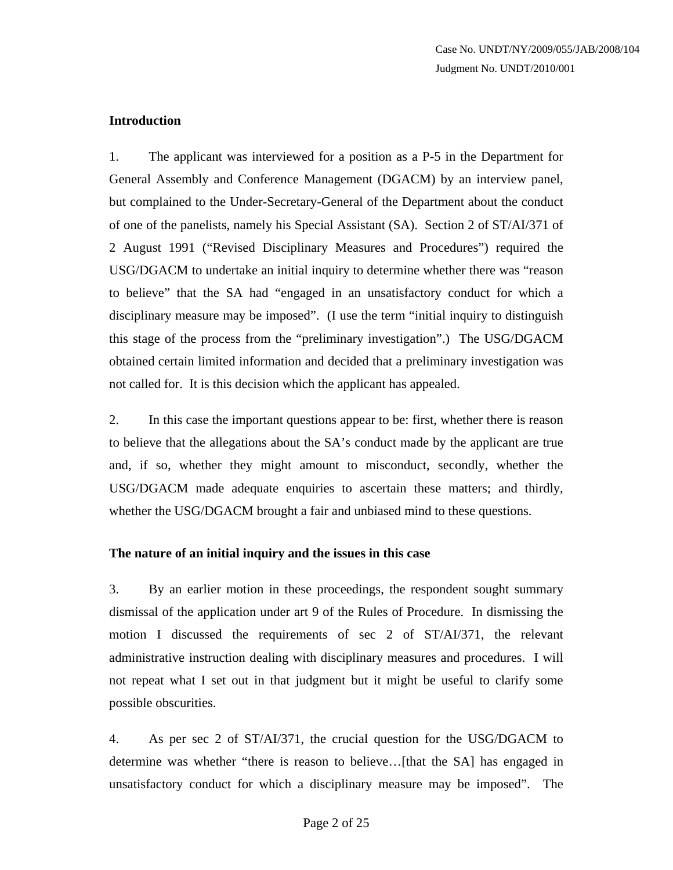## **Introduction**

1. The applicant was interviewed for a position as a P-5 in the Department for General Assembly and Conference Management (DGACM) by an interview panel, but complained to the Under-Secretary-General of the Department about the conduct of one of the panelists, namely his Special Assistant (SA). Section 2 of ST/AI/371 of 2 August 1991 ("Revised Disciplinary Measures and Procedures") required the USG/DGACM to undertake an initial inquiry to determine whether there was "reason to believe" that the SA had "engaged in an unsatisfactory conduct for which a disciplinary measure may be imposed". (I use the term "initial inquiry to distinguish this stage of the process from the "preliminary investigation".) The USG/DGACM obtained certain limited information and decided that a preliminary investigation was not called for. It is this decision which the applicant has appealed.

2. In this case the important questions appear to be: first, whether there is reason to believe that the allegations about the SA's conduct made by the applicant are true and, if so, whether they might amount to misconduct, secondly, whether the USG/DGACM made adequate enquiries to ascertain these matters; and thirdly, whether the USG/DGACM brought a fair and unbiased mind to these questions.

### **The nature of an initial inquiry and the issues in this case**

3. By an earlier motion in these proceedings, the respondent sought summary dismissal of the application under art 9 of the Rules of Procedure. In dismissing the motion I discussed the requirements of sec 2 of ST/AI/371, the relevant administrative instruction dealing with disciplinary measures and procedures. I will not repeat what I set out in that judgment but it might be useful to clarify some possible obscurities.

4. As per sec 2 of ST/AI/371, the crucial question for the USG/DGACM to determine was whether "there is reason to believe…[that the SA] has engaged in unsatisfactory conduct for which a disciplinary measure may be imposed". The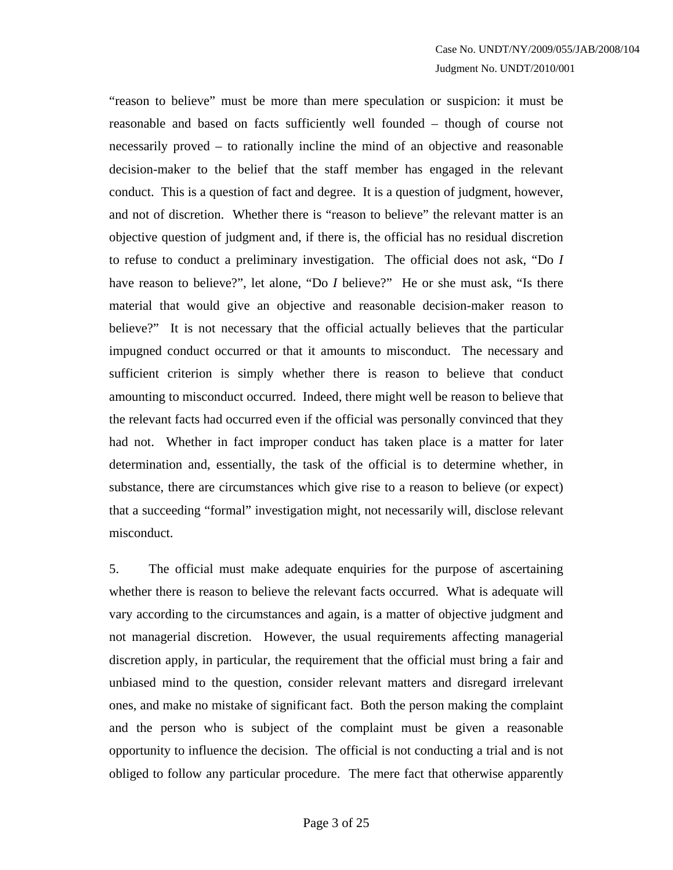"reason to believe" must be more than mere speculation or suspicion: it must be reasonable and based on facts sufficiently well founded – though of course not necessarily proved – to rationally incline the mind of an objective and reasonable decision-maker to the belief that the staff member has engaged in the relevant conduct. This is a question of fact and degree. It is a question of judgment, however, and not of discretion. Whether there is "reason to believe" the relevant matter is an objective question of judgment and, if there is, the official has no residual discretion to refuse to conduct a preliminary investigation. The official does not ask, "Do *I* have reason to believe?", let alone, "Do *I* believe?" He or she must ask, "Is there material that would give an objective and reasonable decision-maker reason to believe?" It is not necessary that the official actually believes that the particular impugned conduct occurred or that it amounts to misconduct. The necessary and sufficient criterion is simply whether there is reason to believe that conduct amounting to misconduct occurred. Indeed, there might well be reason to believe that the relevant facts had occurred even if the official was personally convinced that they had not. Whether in fact improper conduct has taken place is a matter for later determination and, essentially, the task of the official is to determine whether, in substance, there are circumstances which give rise to a reason to believe (or expect) that a succeeding "formal" investigation might, not necessarily will, disclose relevant misconduct.

5. The official must make adequate enquiries for the purpose of ascertaining whether there is reason to believe the relevant facts occurred. What is adequate will vary according to the circumstances and again, is a matter of objective judgment and not managerial discretion. However, the usual requirements affecting managerial discretion apply, in particular, the requirement that the official must bring a fair and unbiased mind to the question, consider relevant matters and disregard irrelevant ones, and make no mistake of significant fact. Both the person making the complaint and the person who is subject of the complaint must be given a reasonable opportunity to influence the decision. The official is not conducting a trial and is not obliged to follow any particular procedure. The mere fact that otherwise apparently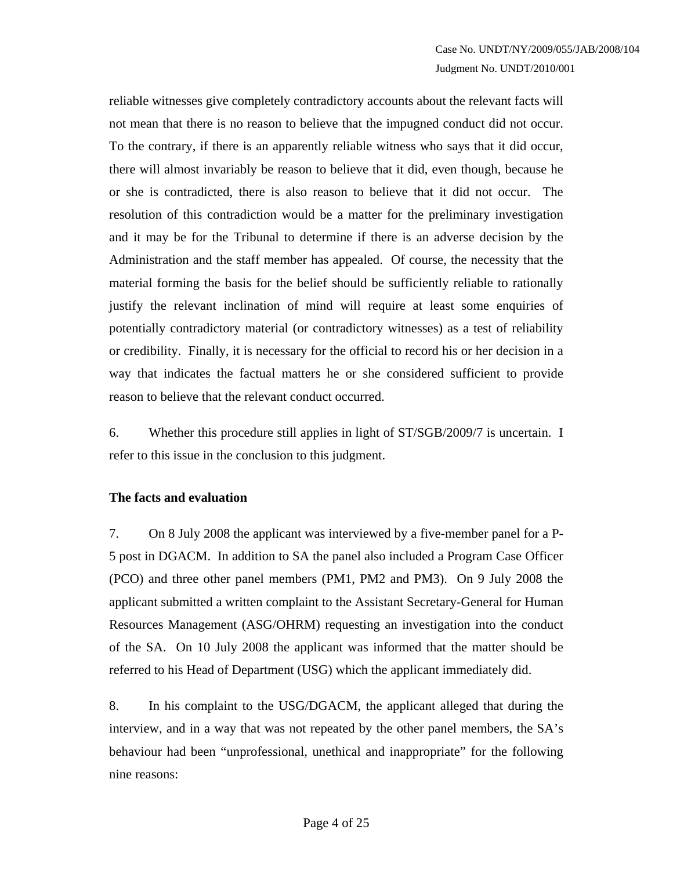reliable witnesses give completely contradictory accounts about the relevant facts will not mean that there is no reason to believe that the impugned conduct did not occur. To the contrary, if there is an apparently reliable witness who says that it did occur, there will almost invariably be reason to believe that it did, even though, because he or she is contradicted, there is also reason to believe that it did not occur. The resolution of this contradiction would be a matter for the preliminary investigation and it may be for the Tribunal to determine if there is an adverse decision by the Administration and the staff member has appealed. Of course, the necessity that the material forming the basis for the belief should be sufficiently reliable to rationally justify the relevant inclination of mind will require at least some enquiries of potentially contradictory material (or contradictory witnesses) as a test of reliability or credibility. Finally, it is necessary for the official to record his or her decision in a way that indicates the factual matters he or she considered sufficient to provide reason to believe that the relevant conduct occurred.

6. Whether this procedure still applies in light of ST/SGB/2009/7 is uncertain. I refer to this issue in the conclusion to this judgment.

### **The facts and evaluation**

7. On 8 July 2008 the applicant was interviewed by a five-member panel for a P-5 post in DGACM. In addition to SA the panel also included a Program Case Officer (PCO) and three other panel members (PM1, PM2 and PM3). On 9 July 2008 the applicant submitted a written complaint to the Assistant Secretary-General for Human Resources Management (ASG/OHRM) requesting an investigation into the conduct of the SA. On 10 July 2008 the applicant was informed that the matter should be referred to his Head of Department (USG) which the applicant immediately did.

8. In his complaint to the USG/DGACM, the applicant alleged that during the interview, and in a way that was not repeated by the other panel members, the SA's behaviour had been "unprofessional, unethical and inappropriate" for the following nine reasons: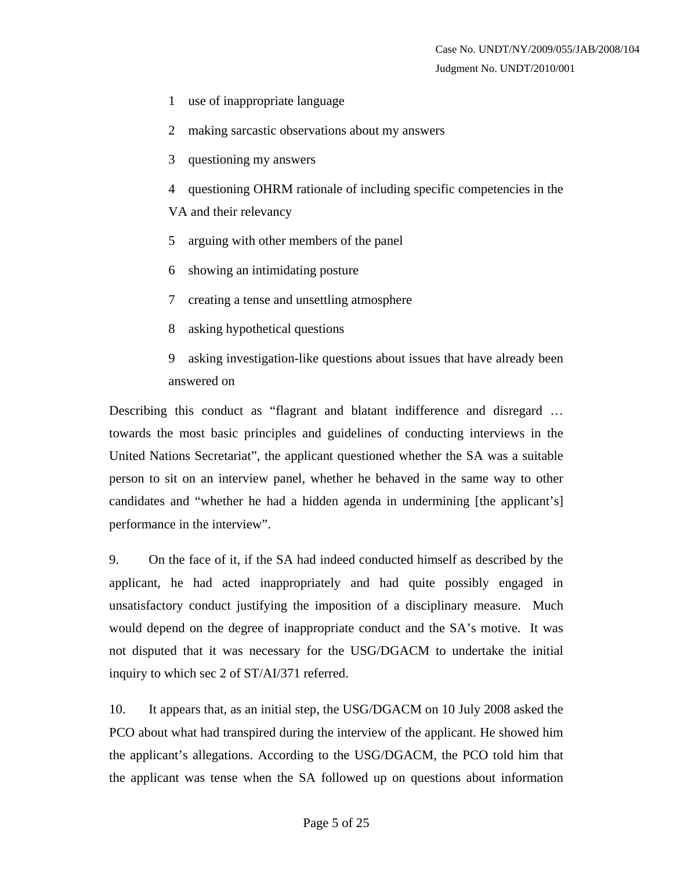- 1 use of inappropriate language
- 2 making sarcastic observations about my answers
- 3 questioning my answers
- 4 questioning OHRM rationale of including specific competencies in the VA and their relevancy
- 5 arguing with other members of the panel
- 6 showing an intimidating posture
- 7 creating a tense and unsettling atmosphere
- 8 asking hypothetical questions
- 9 asking investigation-like questions about issues that have already been answered on

Describing this conduct as "flagrant and blatant indifference and disregard … towards the most basic principles and guidelines of conducting interviews in the United Nations Secretariat", the applicant questioned whether the SA was a suitable person to sit on an interview panel, whether he behaved in the same way to other candidates and "whether he had a hidden agenda in undermining [the applicant's] performance in the interview".

9. On the face of it, if the SA had indeed conducted himself as described by the applicant, he had acted inappropriately and had quite possibly engaged in unsatisfactory conduct justifying the imposition of a disciplinary measure. Much would depend on the degree of inappropriate conduct and the SA's motive. It was not disputed that it was necessary for the USG/DGACM to undertake the initial inquiry to which sec 2 of ST/AI/371 referred.

10. It appears that, as an initial step, the USG/DGACM on 10 July 2008 asked the PCO about what had transpired during the interview of the applicant. He showed him the applicant's allegations. According to the USG/DGACM, the PCO told him that the applicant was tense when the SA followed up on questions about information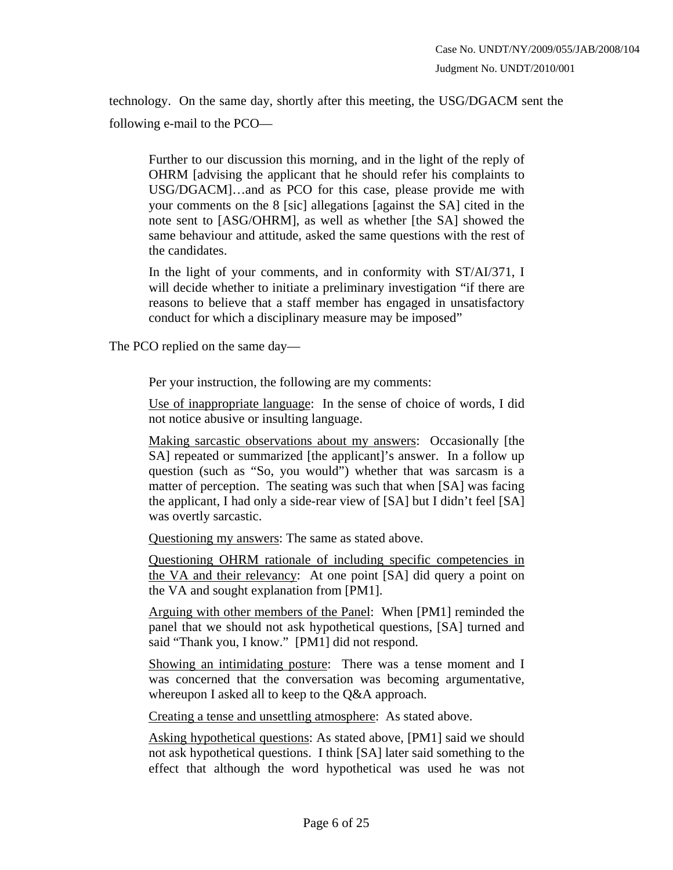technology. On the same day, shortly after this meeting, the USG/DGACM sent the following e-mail to the PCO—

Further to our discussion this morning, and in the light of the reply of OHRM [advising the applicant that he should refer his complaints to USG/DGACM]…and as PCO for this case, please provide me with your comments on the 8 [sic] allegations [against the SA] cited in the note sent to [ASG/OHRM], as well as whether [the SA] showed the same behaviour and attitude, asked the same questions with the rest of the candidates.

In the light of your comments, and in conformity with ST/AI/371, I will decide whether to initiate a preliminary investigation "if there are reasons to believe that a staff member has engaged in unsatisfactory conduct for which a disciplinary measure may be imposed"

The PCO replied on the same day—

Per your instruction, the following are my comments:

Use of inappropriate language: In the sense of choice of words, I did not notice abusive or insulting language.

Making sarcastic observations about my answers: Occasionally [the SA] repeated or summarized [the applicant]'s answer. In a follow up question (such as "So, you would") whether that was sarcasm is a matter of perception. The seating was such that when [SA] was facing the applicant, I had only a side-rear view of [SA] but I didn't feel [SA] was overtly sarcastic.

Questioning my answers: The same as stated above.

Questioning OHRM rationale of including specific competencies in the VA and their relevancy: At one point [SA] did query a point on the VA and sought explanation from [PM1].

Arguing with other members of the Panel: When [PM1] reminded the panel that we should not ask hypothetical questions, [SA] turned and said "Thank you, I know." [PM1] did not respond.

Showing an intimidating posture: There was a tense moment and I was concerned that the conversation was becoming argumentative, whereupon I asked all to keep to the Q&A approach.

Creating a tense and unsettling atmosphere: As stated above.

Asking hypothetical questions: As stated above, [PM1] said we should not ask hypothetical questions. I think [SA] later said something to the effect that although the word hypothetical was used he was not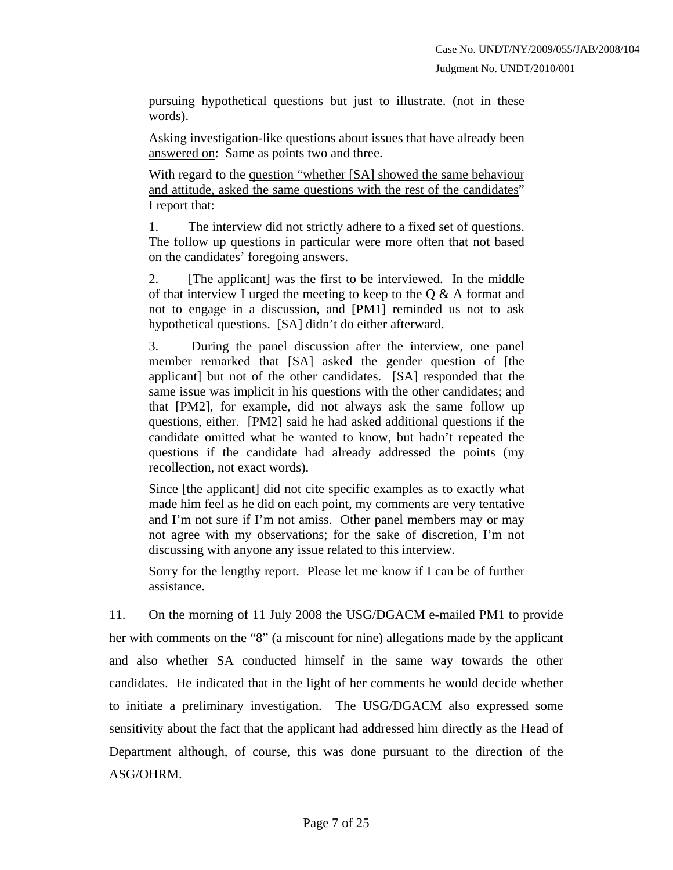pursuing hypothetical questions but just to illustrate. (not in these words).

Asking investigation-like questions about issues that have already been answered on: Same as points two and three.

With regard to the question "whether [SA] showed the same behaviour and attitude, asked the same questions with the rest of the candidates" I report that:

1. The interview did not strictly adhere to a fixed set of questions. The follow up questions in particular were more often that not based on the candidates' foregoing answers.

2. [The applicant] was the first to be interviewed. In the middle of that interview I urged the meeting to keep to the  $Q & A$  format and not to engage in a discussion, and [PM1] reminded us not to ask hypothetical questions. [SA] didn't do either afterward.

3. During the panel discussion after the interview, one panel member remarked that [SA] asked the gender question of [the applicant] but not of the other candidates. [SA] responded that the same issue was implicit in his questions with the other candidates; and that [PM2], for example, did not always ask the same follow up questions, either. [PM2] said he had asked additional questions if the candidate omitted what he wanted to know, but hadn't repeated the questions if the candidate had already addressed the points (my recollection, not exact words).

Since [the applicant] did not cite specific examples as to exactly what made him feel as he did on each point, my comments are very tentative and I'm not sure if I'm not amiss. Other panel members may or may not agree with my observations; for the sake of discretion, I'm not discussing with anyone any issue related to this interview.

Sorry for the lengthy report. Please let me know if I can be of further assistance.

11. On the morning of 11 July 2008 the USG/DGACM e-mailed PM1 to provide her with comments on the "8" (a miscount for nine) allegations made by the applicant and also whether SA conducted himself in the same way towards the other candidates. He indicated that in the light of her comments he would decide whether to initiate a preliminary investigation. The USG/DGACM also expressed some sensitivity about the fact that the applicant had addressed him directly as the Head of Department although, of course, this was done pursuant to the direction of the ASG/OHRM.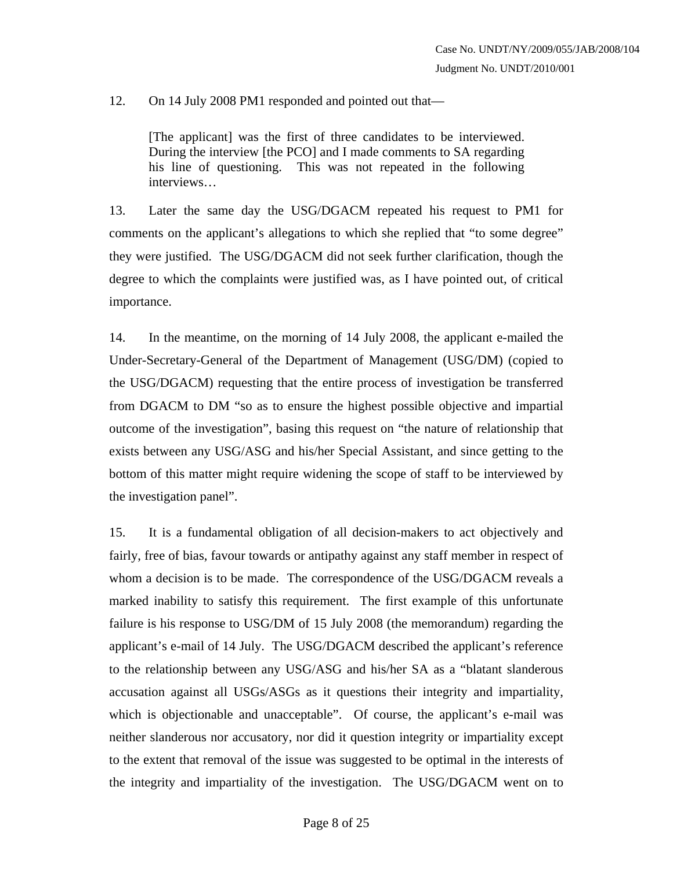12. On 14 July 2008 PM1 responded and pointed out that—

[The applicant] was the first of three candidates to be interviewed. During the interview [the PCO] and I made comments to SA regarding his line of questioning. This was not repeated in the following interviews…

13. Later the same day the USG/DGACM repeated his request to PM1 for comments on the applicant's allegations to which she replied that "to some degree" they were justified. The USG/DGACM did not seek further clarification, though the degree to which the complaints were justified was, as I have pointed out, of critical importance.

14. In the meantime, on the morning of 14 July 2008, the applicant e-mailed the Under-Secretary-General of the Department of Management (USG/DM) (copied to the USG/DGACM) requesting that the entire process of investigation be transferred from DGACM to DM "so as to ensure the highest possible objective and impartial outcome of the investigation", basing this request on "the nature of relationship that exists between any USG/ASG and his/her Special Assistant, and since getting to the bottom of this matter might require widening the scope of staff to be interviewed by the investigation panel".

15. It is a fundamental obligation of all decision-makers to act objectively and fairly, free of bias, favour towards or antipathy against any staff member in respect of whom a decision is to be made. The correspondence of the USG/DGACM reveals a marked inability to satisfy this requirement. The first example of this unfortunate failure is his response to USG/DM of 15 July 2008 (the memorandum) regarding the applicant's e-mail of 14 July. The USG/DGACM described the applicant's reference to the relationship between any USG/ASG and his/her SA as a "blatant slanderous accusation against all USGs/ASGs as it questions their integrity and impartiality, which is objectionable and unacceptable". Of course, the applicant's e-mail was neither slanderous nor accusatory, nor did it question integrity or impartiality except to the extent that removal of the issue was suggested to be optimal in the interests of the integrity and impartiality of the investigation. The USG/DGACM went on to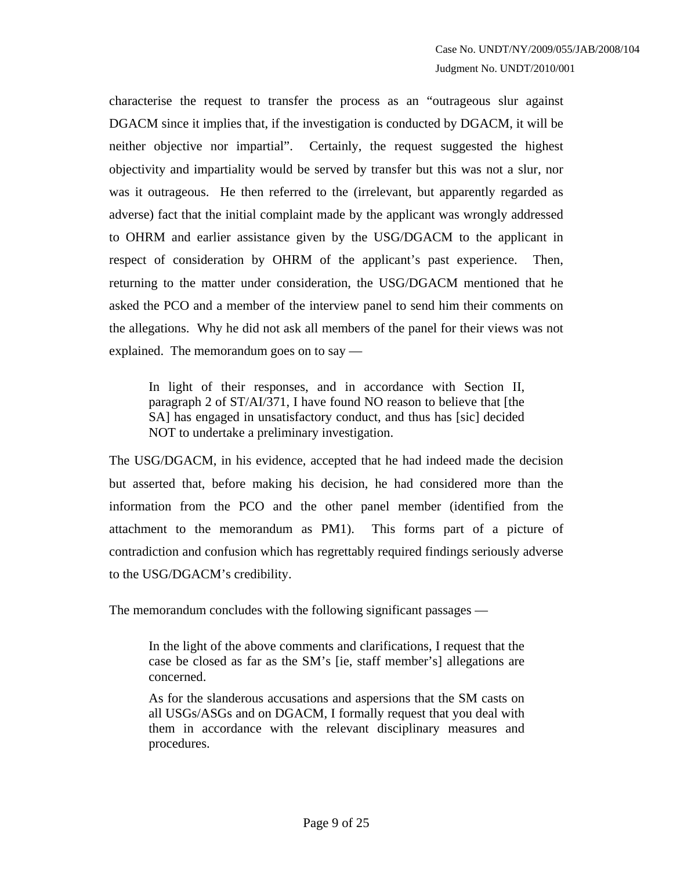characterise the request to transfer the process as an "outrageous slur against DGACM since it implies that, if the investigation is conducted by DGACM, it will be neither objective nor impartial". Certainly, the request suggested the highest objectivity and impartiality would be served by transfer but this was not a slur, nor was it outrageous. He then referred to the (irrelevant, but apparently regarded as adverse) fact that the initial complaint made by the applicant was wrongly addressed to OHRM and earlier assistance given by the USG/DGACM to the applicant in respect of consideration by OHRM of the applicant's past experience. Then, returning to the matter under consideration, the USG/DGACM mentioned that he asked the PCO and a member of the interview panel to send him their comments on the allegations. Why he did not ask all members of the panel for their views was not explained. The memorandum goes on to say —

In light of their responses, and in accordance with Section II, paragraph 2 of ST/AI/371, I have found NO reason to believe that [the SA] has engaged in unsatisfactory conduct, and thus has [sic] decided NOT to undertake a preliminary investigation.

The USG/DGACM, in his evidence, accepted that he had indeed made the decision but asserted that, before making his decision, he had considered more than the information from the PCO and the other panel member (identified from the attachment to the memorandum as PM1). This forms part of a picture of contradiction and confusion which has regrettably required findings seriously adverse to the USG/DGACM's credibility.

The memorandum concludes with the following significant passages —

In the light of the above comments and clarifications, I request that the case be closed as far as the SM's [ie, staff member's] allegations are concerned.

As for the slanderous accusations and aspersions that the SM casts on all USGs/ASGs and on DGACM, I formally request that you deal with them in accordance with the relevant disciplinary measures and procedures.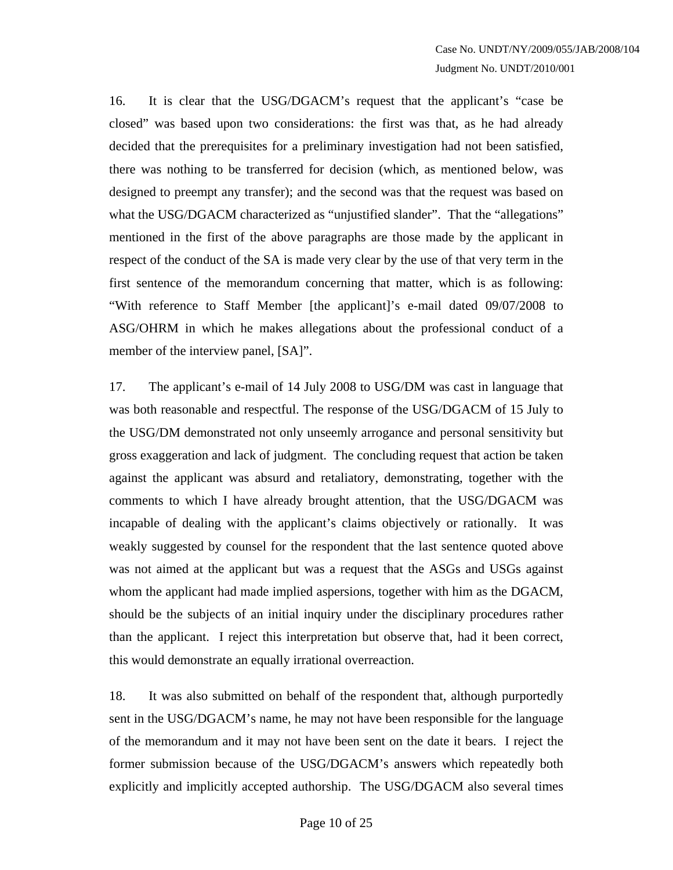16. It is clear that the USG/DGACM's request that the applicant's "case be closed" was based upon two considerations: the first was that, as he had already decided that the prerequisites for a preliminary investigation had not been satisfied, there was nothing to be transferred for decision (which, as mentioned below, was designed to preempt any transfer); and the second was that the request was based on what the USG/DGACM characterized as "unjustified slander". That the "allegations" mentioned in the first of the above paragraphs are those made by the applicant in respect of the conduct of the SA is made very clear by the use of that very term in the first sentence of the memorandum concerning that matter, which is as following: "With reference to Staff Member [the applicant]'s e-mail dated 09/07/2008 to ASG/OHRM in which he makes allegations about the professional conduct of a member of the interview panel, [SA]".

17. The applicant's e-mail of 14 July 2008 to USG/DM was cast in language that was both reasonable and respectful. The response of the USG/DGACM of 15 July to the USG/DM demonstrated not only unseemly arrogance and personal sensitivity but gross exaggeration and lack of judgment. The concluding request that action be taken against the applicant was absurd and retaliatory, demonstrating, together with the comments to which I have already brought attention, that the USG/DGACM was incapable of dealing with the applicant's claims objectively or rationally. It was weakly suggested by counsel for the respondent that the last sentence quoted above was not aimed at the applicant but was a request that the ASGs and USGs against whom the applicant had made implied aspersions, together with him as the DGACM, should be the subjects of an initial inquiry under the disciplinary procedures rather than the applicant. I reject this interpretation but observe that, had it been correct, this would demonstrate an equally irrational overreaction.

18. It was also submitted on behalf of the respondent that, although purportedly sent in the USG/DGACM's name, he may not have been responsible for the language of the memorandum and it may not have been sent on the date it bears. I reject the former submission because of the USG/DGACM's answers which repeatedly both explicitly and implicitly accepted authorship. The USG/DGACM also several times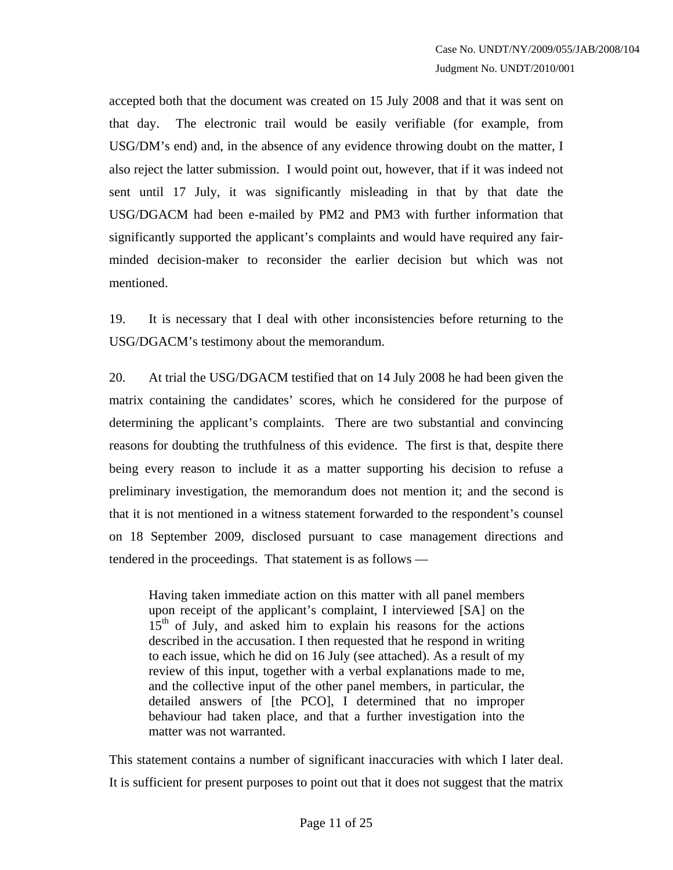accepted both that the document was created on 15 July 2008 and that it was sent on that day. The electronic trail would be easily verifiable (for example, from USG/DM's end) and, in the absence of any evidence throwing doubt on the matter, I also reject the latter submission. I would point out, however, that if it was indeed not sent until 17 July, it was significantly misleading in that by that date the USG/DGACM had been e-mailed by PM2 and PM3 with further information that significantly supported the applicant's complaints and would have required any fairminded decision-maker to reconsider the earlier decision but which was not mentioned.

19. It is necessary that I deal with other inconsistencies before returning to the USG/DGACM's testimony about the memorandum.

20. At trial the USG/DGACM testified that on 14 July 2008 he had been given the matrix containing the candidates' scores, which he considered for the purpose of determining the applicant's complaints. There are two substantial and convincing reasons for doubting the truthfulness of this evidence. The first is that, despite there being every reason to include it as a matter supporting his decision to refuse a preliminary investigation, the memorandum does not mention it; and the second is that it is not mentioned in a witness statement forwarded to the respondent's counsel on 18 September 2009, disclosed pursuant to case management directions and tendered in the proceedings. That statement is as follows —

Having taken immediate action on this matter with all panel members upon receipt of the applicant's complaint, I interviewed [SA] on the  $15<sup>th</sup>$  of July, and asked him to explain his reasons for the actions described in the accusation. I then requested that he respond in writing to each issue, which he did on 16 July (see attached). As a result of my review of this input, together with a verbal explanations made to me, and the collective input of the other panel members, in particular, the detailed answers of [the PCO], I determined that no improper behaviour had taken place, and that a further investigation into the matter was not warranted.

This statement contains a number of significant inaccuracies with which I later deal. It is sufficient for present purposes to point out that it does not suggest that the matrix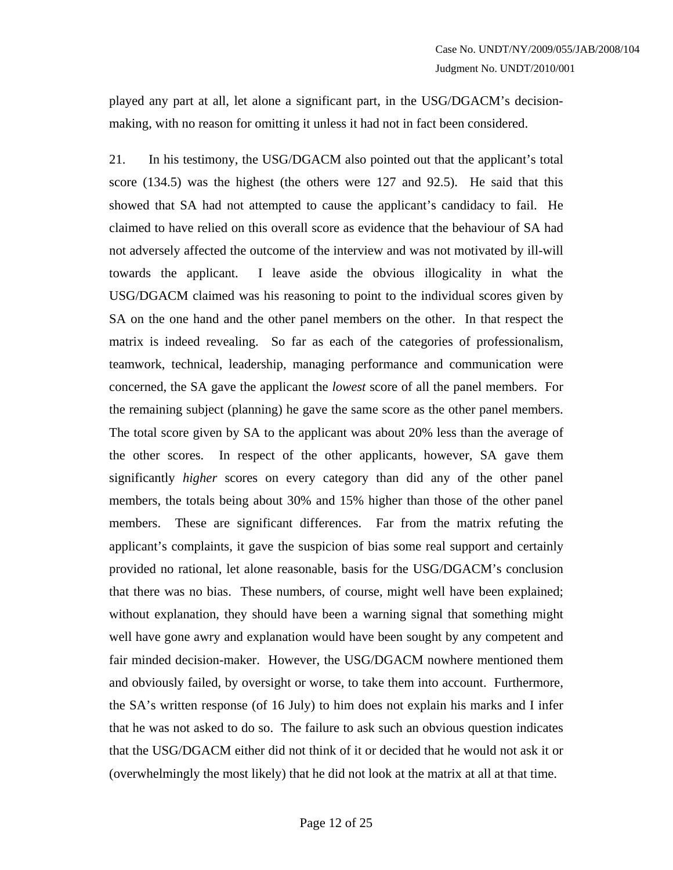played any part at all, let alone a significant part, in the USG/DGACM's decisionmaking, with no reason for omitting it unless it had not in fact been considered.

21. In his testimony, the USG/DGACM also pointed out that the applicant's total score (134.5) was the highest (the others were 127 and 92.5). He said that this showed that SA had not attempted to cause the applicant's candidacy to fail. He claimed to have relied on this overall score as evidence that the behaviour of SA had not adversely affected the outcome of the interview and was not motivated by ill-will towards the applicant. I leave aside the obvious illogicality in what the USG/DGACM claimed was his reasoning to point to the individual scores given by SA on the one hand and the other panel members on the other. In that respect the matrix is indeed revealing. So far as each of the categories of professionalism, teamwork, technical, leadership, managing performance and communication were concerned, the SA gave the applicant the *lowest* score of all the panel members. For the remaining subject (planning) he gave the same score as the other panel members. The total score given by SA to the applicant was about 20% less than the average of the other scores. In respect of the other applicants, however, SA gave them significantly *higher* scores on every category than did any of the other panel members, the totals being about 30% and 15% higher than those of the other panel members. These are significant differences. Far from the matrix refuting the applicant's complaints, it gave the suspicion of bias some real support and certainly provided no rational, let alone reasonable, basis for the USG/DGACM's conclusion that there was no bias. These numbers, of course, might well have been explained; without explanation, they should have been a warning signal that something might well have gone awry and explanation would have been sought by any competent and fair minded decision-maker. However, the USG/DGACM nowhere mentioned them and obviously failed, by oversight or worse, to take them into account. Furthermore, the SA's written response (of 16 July) to him does not explain his marks and I infer that he was not asked to do so. The failure to ask such an obvious question indicates that the USG/DGACM either did not think of it or decided that he would not ask it or (overwhelmingly the most likely) that he did not look at the matrix at all at that time.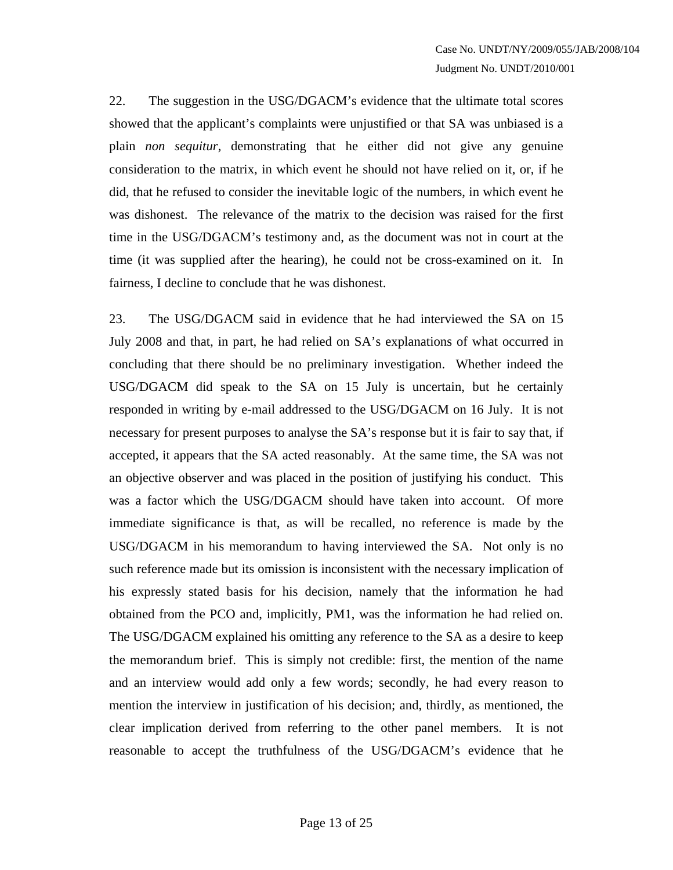22. The suggestion in the USG/DGACM's evidence that the ultimate total scores showed that the applicant's complaints were unjustified or that SA was unbiased is a plain *non sequitur*, demonstrating that he either did not give any genuine consideration to the matrix, in which event he should not have relied on it, or, if he did, that he refused to consider the inevitable logic of the numbers, in which event he was dishonest. The relevance of the matrix to the decision was raised for the first time in the USG/DGACM's testimony and, as the document was not in court at the time (it was supplied after the hearing), he could not be cross-examined on it. In fairness, I decline to conclude that he was dishonest.

23. The USG/DGACM said in evidence that he had interviewed the SA on 15 July 2008 and that, in part, he had relied on SA's explanations of what occurred in concluding that there should be no preliminary investigation. Whether indeed the USG/DGACM did speak to the SA on 15 July is uncertain, but he certainly responded in writing by e-mail addressed to the USG/DGACM on 16 July. It is not necessary for present purposes to analyse the SA's response but it is fair to say that, if accepted, it appears that the SA acted reasonably. At the same time, the SA was not an objective observer and was placed in the position of justifying his conduct. This was a factor which the USG/DGACM should have taken into account. Of more immediate significance is that, as will be recalled, no reference is made by the USG/DGACM in his memorandum to having interviewed the SA. Not only is no such reference made but its omission is inconsistent with the necessary implication of his expressly stated basis for his decision, namely that the information he had obtained from the PCO and, implicitly, PM1, was the information he had relied on. The USG/DGACM explained his omitting any reference to the SA as a desire to keep the memorandum brief. This is simply not credible: first, the mention of the name and an interview would add only a few words; secondly, he had every reason to mention the interview in justification of his decision; and, thirdly, as mentioned, the clear implication derived from referring to the other panel members. It is not reasonable to accept the truthfulness of the USG/DGACM's evidence that he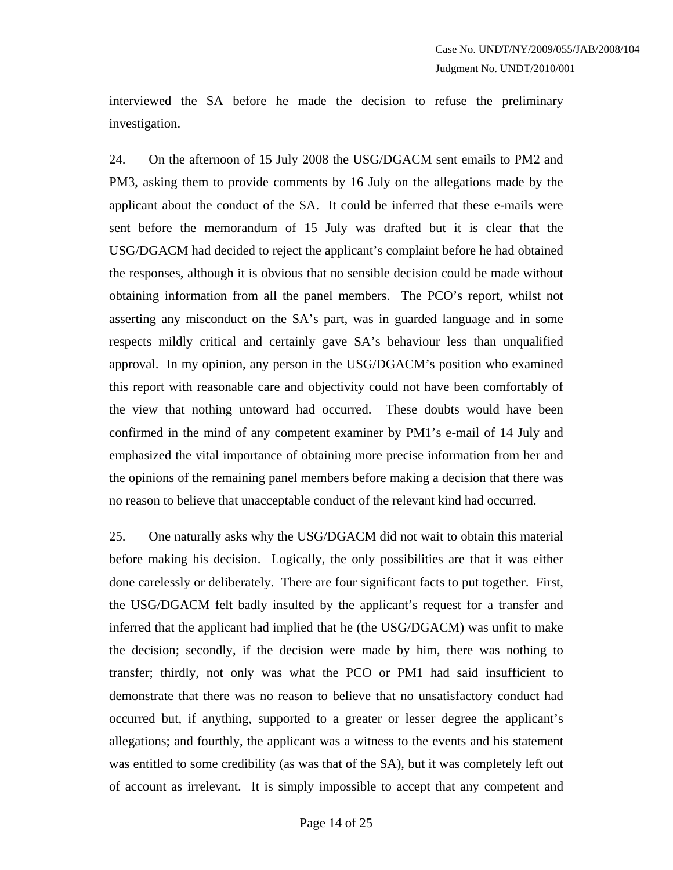interviewed the SA before he made the decision to refuse the preliminary investigation.

24. On the afternoon of 15 July 2008 the USG/DGACM sent emails to PM2 and PM3, asking them to provide comments by 16 July on the allegations made by the applicant about the conduct of the SA. It could be inferred that these e-mails were sent before the memorandum of 15 July was drafted but it is clear that the USG/DGACM had decided to reject the applicant's complaint before he had obtained the responses, although it is obvious that no sensible decision could be made without obtaining information from all the panel members. The PCO's report, whilst not asserting any misconduct on the SA's part, was in guarded language and in some respects mildly critical and certainly gave SA's behaviour less than unqualified approval. In my opinion, any person in the USG/DGACM's position who examined this report with reasonable care and objectivity could not have been comfortably of the view that nothing untoward had occurred. These doubts would have been confirmed in the mind of any competent examiner by PM1's e-mail of 14 July and emphasized the vital importance of obtaining more precise information from her and the opinions of the remaining panel members before making a decision that there was no reason to believe that unacceptable conduct of the relevant kind had occurred.

25. One naturally asks why the USG/DGACM did not wait to obtain this material before making his decision. Logically, the only possibilities are that it was either done carelessly or deliberately. There are four significant facts to put together. First, the USG/DGACM felt badly insulted by the applicant's request for a transfer and inferred that the applicant had implied that he (the USG/DGACM) was unfit to make the decision; secondly, if the decision were made by him, there was nothing to transfer; thirdly, not only was what the PCO or PM1 had said insufficient to demonstrate that there was no reason to believe that no unsatisfactory conduct had occurred but, if anything, supported to a greater or lesser degree the applicant's allegations; and fourthly, the applicant was a witness to the events and his statement was entitled to some credibility (as was that of the SA), but it was completely left out of account as irrelevant. It is simply impossible to accept that any competent and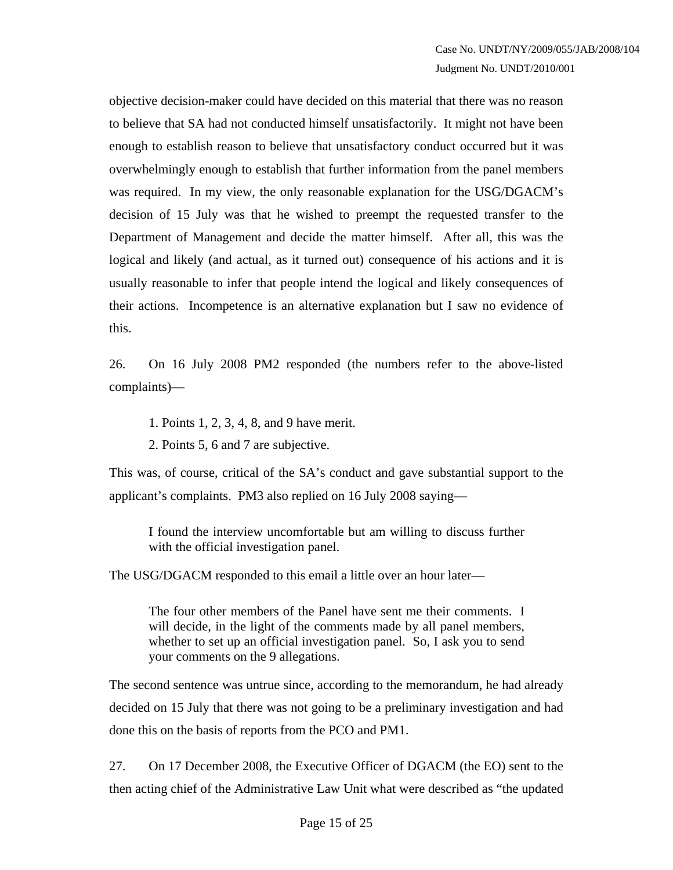objective decision-maker could have decided on this material that there was no reason to believe that SA had not conducted himself unsatisfactorily. It might not have been enough to establish reason to believe that unsatisfactory conduct occurred but it was overwhelmingly enough to establish that further information from the panel members was required. In my view, the only reasonable explanation for the USG/DGACM's decision of 15 July was that he wished to preempt the requested transfer to the Department of Management and decide the matter himself. After all, this was the logical and likely (and actual, as it turned out) consequence of his actions and it is usually reasonable to infer that people intend the logical and likely consequences of their actions. Incompetence is an alternative explanation but I saw no evidence of this.

26. On 16 July 2008 PM2 responded (the numbers refer to the above-listed complaints)—

1. Points 1, 2, 3, 4, 8, and 9 have merit.

2. Points 5, 6 and 7 are subjective.

This was, of course, critical of the SA's conduct and gave substantial support to the applicant's complaints. PM3 also replied on 16 July 2008 saying—

I found the interview uncomfortable but am willing to discuss further with the official investigation panel.

The USG/DGACM responded to this email a little over an hour later—

The four other members of the Panel have sent me their comments. I will decide, in the light of the comments made by all panel members, whether to set up an official investigation panel. So, I ask you to send your comments on the 9 allegations.

The second sentence was untrue since, according to the memorandum, he had already decided on 15 July that there was not going to be a preliminary investigation and had done this on the basis of reports from the PCO and PM1.

27. On 17 December 2008, the Executive Officer of DGACM (the EO) sent to the then acting chief of the Administrative Law Unit what were described as "the updated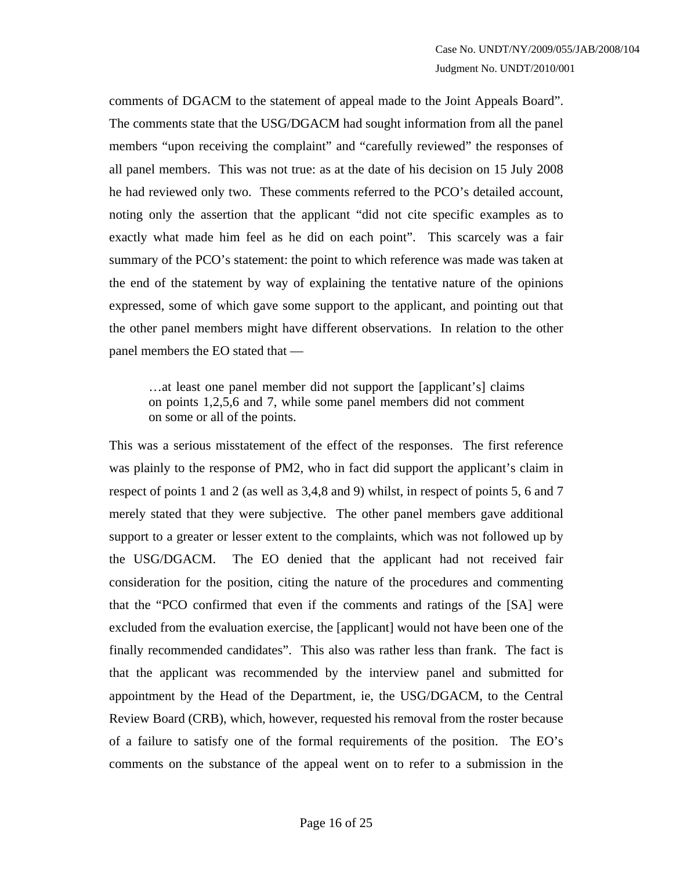comments of DGACM to the statement of appeal made to the Joint Appeals Board". The comments state that the USG/DGACM had sought information from all the panel members "upon receiving the complaint" and "carefully reviewed" the responses of all panel members. This was not true: as at the date of his decision on 15 July 2008 he had reviewed only two. These comments referred to the PCO's detailed account, noting only the assertion that the applicant "did not cite specific examples as to exactly what made him feel as he did on each point". This scarcely was a fair summary of the PCO's statement: the point to which reference was made was taken at the end of the statement by way of explaining the tentative nature of the opinions expressed, some of which gave some support to the applicant, and pointing out that the other panel members might have different observations. In relation to the other panel members the EO stated that —

…at least one panel member did not support the [applicant's] claims on points 1,2,5,6 and 7, while some panel members did not comment on some or all of the points.

This was a serious misstatement of the effect of the responses. The first reference was plainly to the response of PM2, who in fact did support the applicant's claim in respect of points 1 and 2 (as well as 3,4,8 and 9) whilst, in respect of points 5, 6 and 7 merely stated that they were subjective. The other panel members gave additional support to a greater or lesser extent to the complaints, which was not followed up by the USG/DGACM. The EO denied that the applicant had not received fair consideration for the position, citing the nature of the procedures and commenting that the "PCO confirmed that even if the comments and ratings of the [SA] were excluded from the evaluation exercise, the [applicant] would not have been one of the finally recommended candidates". This also was rather less than frank. The fact is that the applicant was recommended by the interview panel and submitted for appointment by the Head of the Department, ie, the USG/DGACM, to the Central Review Board (CRB), which, however, requested his removal from the roster because of a failure to satisfy one of the formal requirements of the position. The EO's comments on the substance of the appeal went on to refer to a submission in the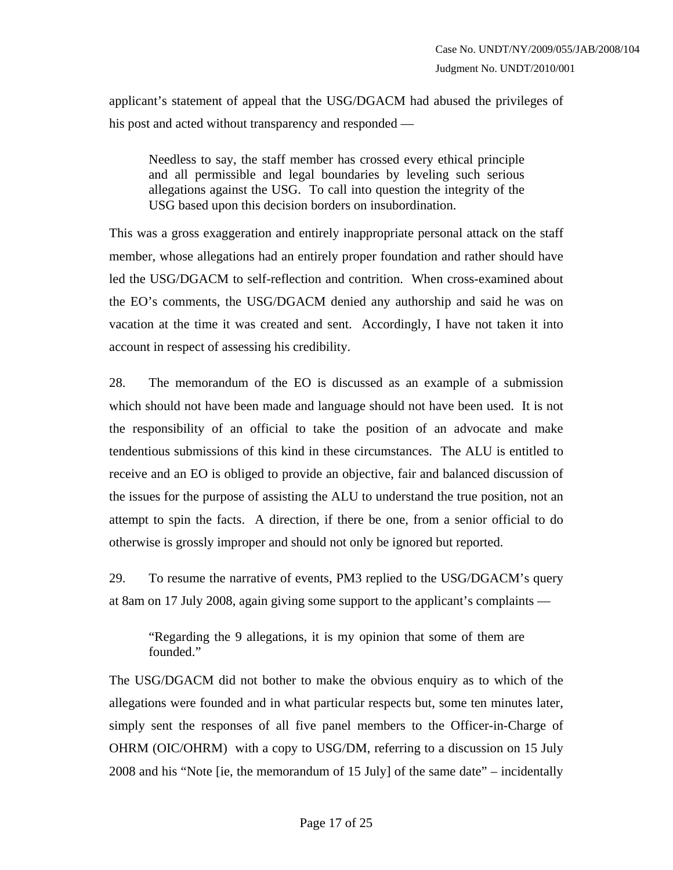applicant's statement of appeal that the USG/DGACM had abused the privileges of his post and acted without transparency and responded —

Needless to say, the staff member has crossed every ethical principle and all permissible and legal boundaries by leveling such serious allegations against the USG. To call into question the integrity of the USG based upon this decision borders on insubordination.

This was a gross exaggeration and entirely inappropriate personal attack on the staff member, whose allegations had an entirely proper foundation and rather should have led the USG/DGACM to self-reflection and contrition. When cross-examined about the EO's comments, the USG/DGACM denied any authorship and said he was on vacation at the time it was created and sent. Accordingly, I have not taken it into account in respect of assessing his credibility.

28. The memorandum of the EO is discussed as an example of a submission which should not have been made and language should not have been used. It is not the responsibility of an official to take the position of an advocate and make tendentious submissions of this kind in these circumstances. The ALU is entitled to receive and an EO is obliged to provide an objective, fair and balanced discussion of the issues for the purpose of assisting the ALU to understand the true position, not an attempt to spin the facts. A direction, if there be one, from a senior official to do otherwise is grossly improper and should not only be ignored but reported.

29. To resume the narrative of events, PM3 replied to the USG/DGACM's query at 8am on 17 July 2008, again giving some support to the applicant's complaints —

"Regarding the 9 allegations, it is my opinion that some of them are founded."

The USG/DGACM did not bother to make the obvious enquiry as to which of the allegations were founded and in what particular respects but, some ten minutes later, simply sent the responses of all five panel members to the Officer-in-Charge of OHRM (OIC/OHRM) with a copy to USG/DM, referring to a discussion on 15 July 2008 and his "Note [ie, the memorandum of 15 July] of the same date" – incidentally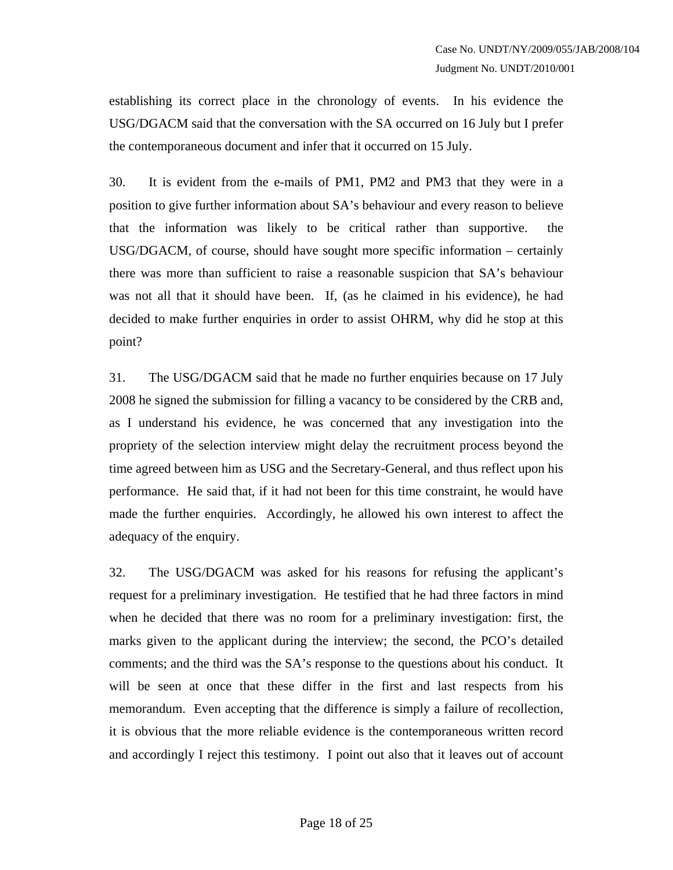establishing its correct place in the chronology of events. In his evidence the USG/DGACM said that the conversation with the SA occurred on 16 July but I prefer the contemporaneous document and infer that it occurred on 15 July.

30. It is evident from the e-mails of PM1, PM2 and PM3 that they were in a position to give further information about SA's behaviour and every reason to believe that the information was likely to be critical rather than supportive. the USG/DGACM, of course, should have sought more specific information – certainly there was more than sufficient to raise a reasonable suspicion that SA's behaviour was not all that it should have been. If, (as he claimed in his evidence), he had decided to make further enquiries in order to assist OHRM, why did he stop at this point?

31. The USG/DGACM said that he made no further enquiries because on 17 July 2008 he signed the submission for filling a vacancy to be considered by the CRB and, as I understand his evidence, he was concerned that any investigation into the propriety of the selection interview might delay the recruitment process beyond the time agreed between him as USG and the Secretary-General, and thus reflect upon his performance. He said that, if it had not been for this time constraint, he would have made the further enquiries. Accordingly, he allowed his own interest to affect the adequacy of the enquiry.

32. The USG/DGACM was asked for his reasons for refusing the applicant's request for a preliminary investigation. He testified that he had three factors in mind when he decided that there was no room for a preliminary investigation: first, the marks given to the applicant during the interview; the second, the PCO's detailed comments; and the third was the SA's response to the questions about his conduct. It will be seen at once that these differ in the first and last respects from his memorandum. Even accepting that the difference is simply a failure of recollection, it is obvious that the more reliable evidence is the contemporaneous written record and accordingly I reject this testimony. I point out also that it leaves out of account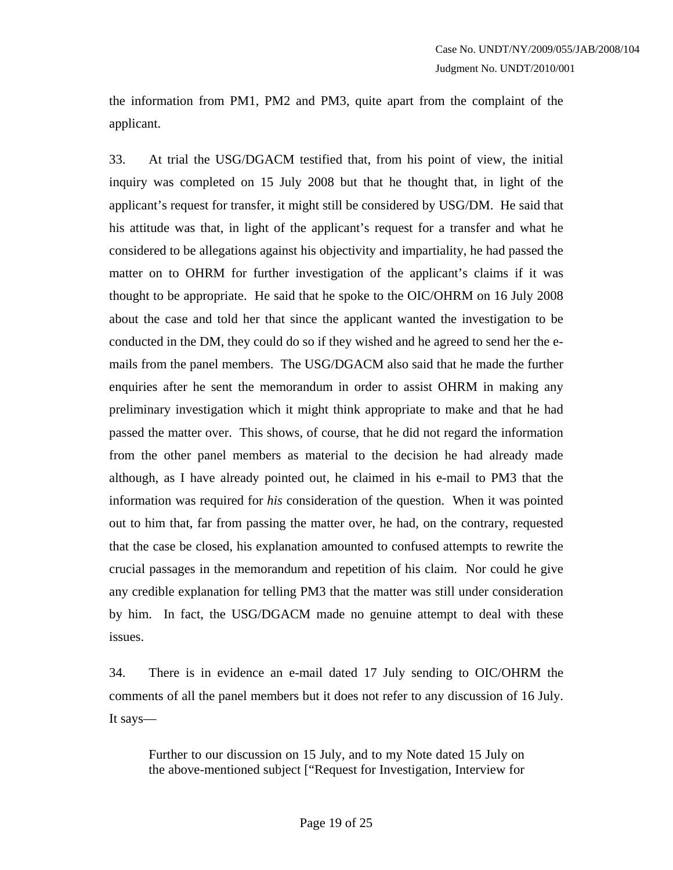the information from PM1, PM2 and PM3, quite apart from the complaint of the applicant.

33. At trial the USG/DGACM testified that, from his point of view, the initial inquiry was completed on 15 July 2008 but that he thought that, in light of the applicant's request for transfer, it might still be considered by USG/DM. He said that his attitude was that, in light of the applicant's request for a transfer and what he considered to be allegations against his objectivity and impartiality, he had passed the matter on to OHRM for further investigation of the applicant's claims if it was thought to be appropriate. He said that he spoke to the OIC/OHRM on 16 July 2008 about the case and told her that since the applicant wanted the investigation to be conducted in the DM, they could do so if they wished and he agreed to send her the emails from the panel members. The USG/DGACM also said that he made the further enquiries after he sent the memorandum in order to assist OHRM in making any preliminary investigation which it might think appropriate to make and that he had passed the matter over. This shows, of course, that he did not regard the information from the other panel members as material to the decision he had already made although, as I have already pointed out, he claimed in his e-mail to PM3 that the information was required for *his* consideration of the question. When it was pointed out to him that, far from passing the matter over, he had, on the contrary, requested that the case be closed, his explanation amounted to confused attempts to rewrite the crucial passages in the memorandum and repetition of his claim. Nor could he give any credible explanation for telling PM3 that the matter was still under consideration by him. In fact, the USG/DGACM made no genuine attempt to deal with these issues.

34. There is in evidence an e-mail dated 17 July sending to OIC/OHRM the comments of all the panel members but it does not refer to any discussion of 16 July. It says—

Further to our discussion on 15 July, and to my Note dated 15 July on the above-mentioned subject ["Request for Investigation, Interview for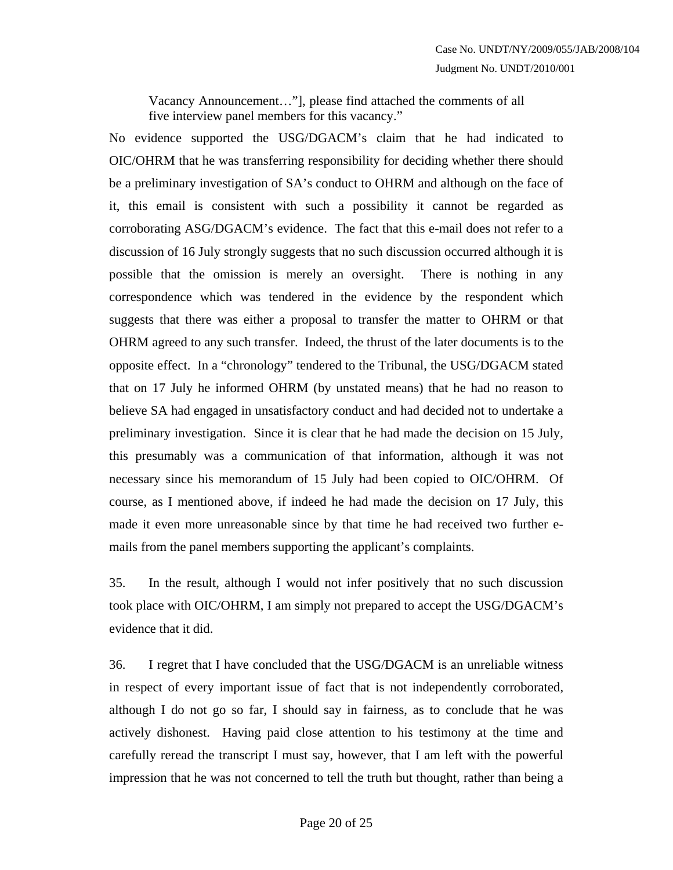Vacancy Announcement…"], please find attached the comments of all five interview panel members for this vacancy."

No evidence supported the USG/DGACM's claim that he had indicated to OIC/OHRM that he was transferring responsibility for deciding whether there should be a preliminary investigation of SA's conduct to OHRM and although on the face of it, this email is consistent with such a possibility it cannot be regarded as corroborating ASG/DGACM's evidence. The fact that this e-mail does not refer to a discussion of 16 July strongly suggests that no such discussion occurred although it is possible that the omission is merely an oversight. There is nothing in any correspondence which was tendered in the evidence by the respondent which suggests that there was either a proposal to transfer the matter to OHRM or that OHRM agreed to any such transfer. Indeed, the thrust of the later documents is to the opposite effect. In a "chronology" tendered to the Tribunal, the USG/DGACM stated that on 17 July he informed OHRM (by unstated means) that he had no reason to believe SA had engaged in unsatisfactory conduct and had decided not to undertake a preliminary investigation. Since it is clear that he had made the decision on 15 July, this presumably was a communication of that information, although it was not necessary since his memorandum of 15 July had been copied to OIC/OHRM. Of course, as I mentioned above, if indeed he had made the decision on 17 July, this made it even more unreasonable since by that time he had received two further emails from the panel members supporting the applicant's complaints.

35. In the result, although I would not infer positively that no such discussion took place with OIC/OHRM, I am simply not prepared to accept the USG/DGACM's evidence that it did.

36. I regret that I have concluded that the USG/DGACM is an unreliable witness in respect of every important issue of fact that is not independently corroborated, although I do not go so far, I should say in fairness, as to conclude that he was actively dishonest. Having paid close attention to his testimony at the time and carefully reread the transcript I must say, however, that I am left with the powerful impression that he was not concerned to tell the truth but thought, rather than being a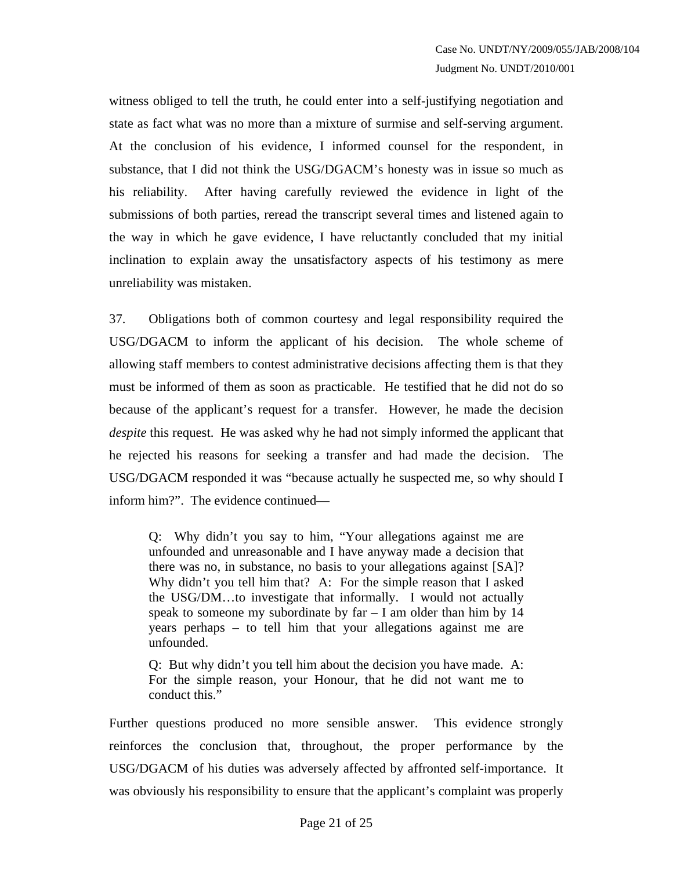witness obliged to tell the truth, he could enter into a self-justifying negotiation and state as fact what was no more than a mixture of surmise and self-serving argument. At the conclusion of his evidence, I informed counsel for the respondent, in substance, that I did not think the USG/DGACM's honesty was in issue so much as his reliability. After having carefully reviewed the evidence in light of the submissions of both parties, reread the transcript several times and listened again to the way in which he gave evidence, I have reluctantly concluded that my initial inclination to explain away the unsatisfactory aspects of his testimony as mere unreliability was mistaken.

37. Obligations both of common courtesy and legal responsibility required the USG/DGACM to inform the applicant of his decision. The whole scheme of allowing staff members to contest administrative decisions affecting them is that they must be informed of them as soon as practicable. He testified that he did not do so because of the applicant's request for a transfer. However, he made the decision *despite* this request. He was asked why he had not simply informed the applicant that he rejected his reasons for seeking a transfer and had made the decision. The USG/DGACM responded it was "because actually he suspected me, so why should I inform him?". The evidence continued—

Q: Why didn't you say to him, "Your allegations against me are unfounded and unreasonable and I have anyway made a decision that there was no, in substance, no basis to your allegations against [SA]? Why didn't you tell him that? A: For the simple reason that I asked the USG/DM…to investigate that informally. I would not actually speak to someone my subordinate by far – I am older than him by 14 years perhaps – to tell him that your allegations against me are unfounded.

Q: But why didn't you tell him about the decision you have made. A: For the simple reason, your Honour, that he did not want me to conduct this."

Further questions produced no more sensible answer. This evidence strongly reinforces the conclusion that, throughout, the proper performance by the USG/DGACM of his duties was adversely affected by affronted self-importance. It was obviously his responsibility to ensure that the applicant's complaint was properly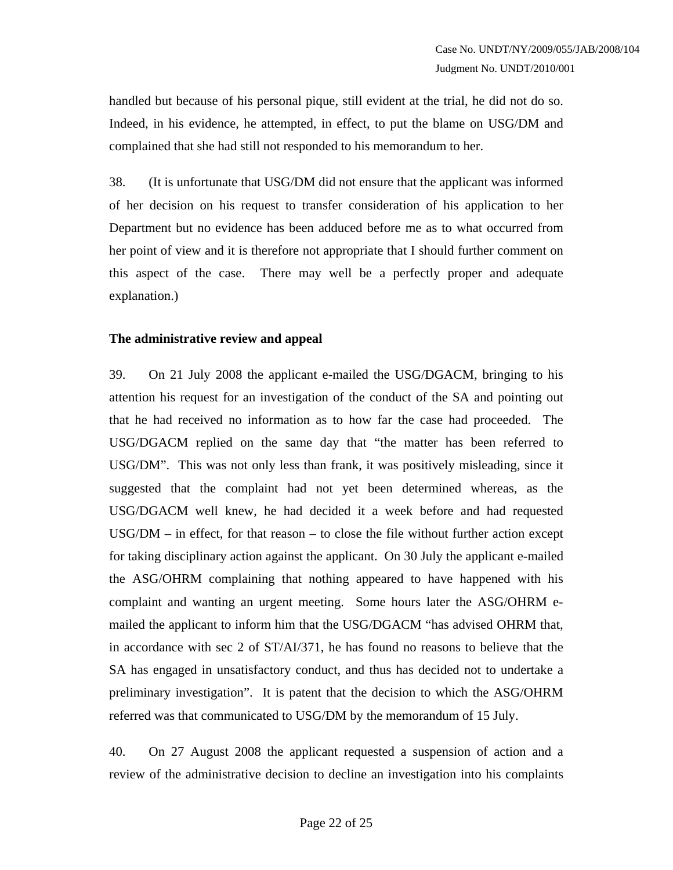handled but because of his personal pique, still evident at the trial, he did not do so. Indeed, in his evidence, he attempted, in effect, to put the blame on USG/DM and complained that she had still not responded to his memorandum to her.

38. (It is unfortunate that USG/DM did not ensure that the applicant was informed of her decision on his request to transfer consideration of his application to her Department but no evidence has been adduced before me as to what occurred from her point of view and it is therefore not appropriate that I should further comment on this aspect of the case. There may well be a perfectly proper and adequate explanation.)

### **The administrative review and appeal**

39. On 21 July 2008 the applicant e-mailed the USG/DGACM, bringing to his attention his request for an investigation of the conduct of the SA and pointing out that he had received no information as to how far the case had proceeded. The USG/DGACM replied on the same day that "the matter has been referred to USG/DM". This was not only less than frank, it was positively misleading, since it suggested that the complaint had not yet been determined whereas, as the USG/DGACM well knew, he had decided it a week before and had requested  $USG/DM - in effect, for that reason – to close the file without further action except$ for taking disciplinary action against the applicant. On 30 July the applicant e-mailed the ASG/OHRM complaining that nothing appeared to have happened with his complaint and wanting an urgent meeting. Some hours later the ASG/OHRM emailed the applicant to inform him that the USG/DGACM "has advised OHRM that, in accordance with sec 2 of ST/AI/371, he has found no reasons to believe that the SA has engaged in unsatisfactory conduct, and thus has decided not to undertake a preliminary investigation". It is patent that the decision to which the ASG/OHRM referred was that communicated to USG/DM by the memorandum of 15 July.

40. On 27 August 2008 the applicant requested a suspension of action and a review of the administrative decision to decline an investigation into his complaints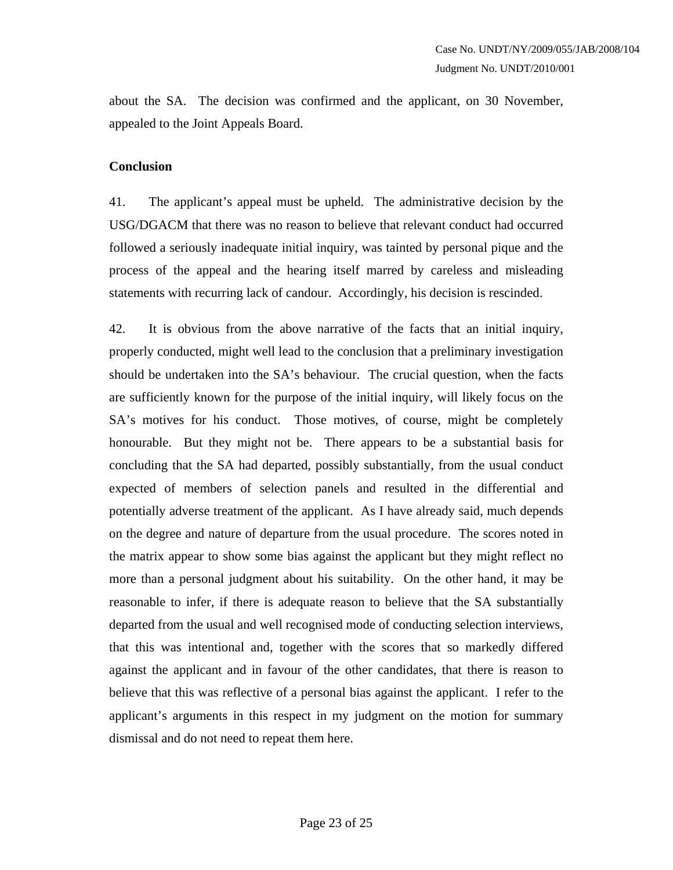about the SA. The decision was confirmed and the applicant, on 30 November, appealed to the Joint Appeals Board.

### **Conclusion**

41. The applicant's appeal must be upheld. The administrative decision by the USG/DGACM that there was no reason to believe that relevant conduct had occurred followed a seriously inadequate initial inquiry, was tainted by personal pique and the process of the appeal and the hearing itself marred by careless and misleading statements with recurring lack of candour. Accordingly, his decision is rescinded.

42. It is obvious from the above narrative of the facts that an initial inquiry, properly conducted, might well lead to the conclusion that a preliminary investigation should be undertaken into the SA's behaviour. The crucial question, when the facts are sufficiently known for the purpose of the initial inquiry, will likely focus on the SA's motives for his conduct. Those motives, of course, might be completely honourable. But they might not be. There appears to be a substantial basis for concluding that the SA had departed, possibly substantially, from the usual conduct expected of members of selection panels and resulted in the differential and potentially adverse treatment of the applicant. As I have already said, much depends on the degree and nature of departure from the usual procedure. The scores noted in the matrix appear to show some bias against the applicant but they might reflect no more than a personal judgment about his suitability. On the other hand, it may be reasonable to infer, if there is adequate reason to believe that the SA substantially departed from the usual and well recognised mode of conducting selection interviews, that this was intentional and, together with the scores that so markedly differed against the applicant and in favour of the other candidates, that there is reason to believe that this was reflective of a personal bias against the applicant. I refer to the applicant's arguments in this respect in my judgment on the motion for summary dismissal and do not need to repeat them here.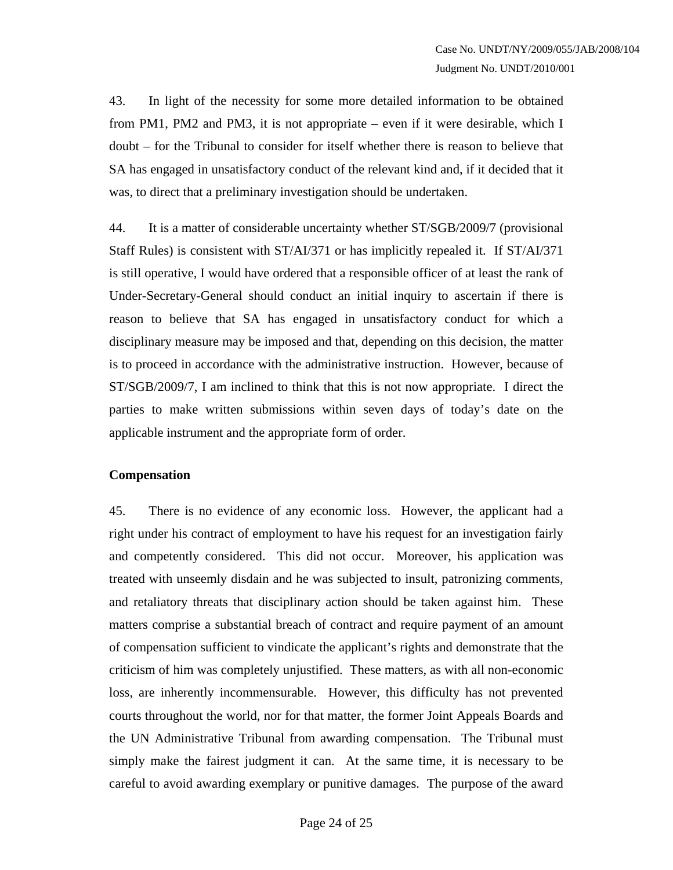43. In light of the necessity for some more detailed information to be obtained from PM1, PM2 and PM3, it is not appropriate – even if it were desirable, which I doubt – for the Tribunal to consider for itself whether there is reason to believe that SA has engaged in unsatisfactory conduct of the relevant kind and, if it decided that it was, to direct that a preliminary investigation should be undertaken.

44. It is a matter of considerable uncertainty whether ST/SGB/2009/7 (provisional Staff Rules) is consistent with ST/AI/371 or has implicitly repealed it. If ST/AI/371 is still operative, I would have ordered that a responsible officer of at least the rank of Under-Secretary-General should conduct an initial inquiry to ascertain if there is reason to believe that SA has engaged in unsatisfactory conduct for which a disciplinary measure may be imposed and that, depending on this decision, the matter is to proceed in accordance with the administrative instruction. However, because of ST/SGB/2009/7, I am inclined to think that this is not now appropriate. I direct the parties to make written submissions within seven days of today's date on the applicable instrument and the appropriate form of order.

### **Compensation**

45. There is no evidence of any economic loss. However, the applicant had a right under his contract of employment to have his request for an investigation fairly and competently considered. This did not occur. Moreover, his application was treated with unseemly disdain and he was subjected to insult, patronizing comments, and retaliatory threats that disciplinary action should be taken against him. These matters comprise a substantial breach of contract and require payment of an amount of compensation sufficient to vindicate the applicant's rights and demonstrate that the criticism of him was completely unjustified. These matters, as with all non-economic loss, are inherently incommensurable. However, this difficulty has not prevented courts throughout the world, nor for that matter, the former Joint Appeals Boards and the UN Administrative Tribunal from awarding compensation. The Tribunal must simply make the fairest judgment it can. At the same time, it is necessary to be careful to avoid awarding exemplary or punitive damages. The purpose of the award